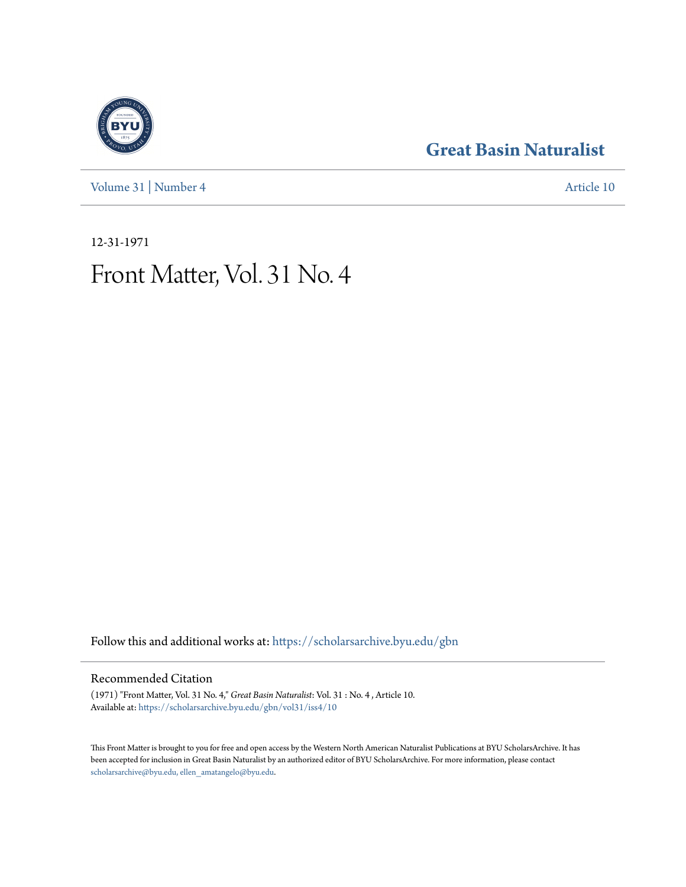[Volume 31](https://scholarsarchive.byu.edu/gbn/vol31?utm_source=scholarsarchive.byu.edu%2Fgbn%2Fvol31%2Fiss4%2F10&utm_medium=PDF&utm_campaign=PDFCoverPages) | [Number 4](https://scholarsarchive.byu.edu/gbn/vol31/iss4?utm_source=scholarsarchive.byu.edu%2Fgbn%2Fvol31%2Fiss4%2F10&utm_medium=PDF&utm_campaign=PDFCoverPages) [Article 10](https://scholarsarchive.byu.edu/gbn/vol31/iss4/10?utm_source=scholarsarchive.byu.edu%2Fgbn%2Fvol31%2Fiss4%2F10&utm_medium=PDF&utm_campaign=PDFCoverPages)

### **[Great Basin Naturalist](https://scholarsarchive.byu.edu/gbn?utm_source=scholarsarchive.byu.edu%2Fgbn%2Fvol31%2Fiss4%2F10&utm_medium=PDF&utm_campaign=PDFCoverPages)**

12-31-1971

## Front Matter, Vol. 31 No. 4

Follow this and additional works at: [https://scholarsarchive.byu.edu/gbn](https://scholarsarchive.byu.edu/gbn?utm_source=scholarsarchive.byu.edu%2Fgbn%2Fvol31%2Fiss4%2F10&utm_medium=PDF&utm_campaign=PDFCoverPages)

#### Recommended Citation

(1971) "Front Matter, Vol. 31 No. 4," *Great Basin Naturalist*: Vol. 31 : No. 4 , Article 10. Available at: [https://scholarsarchive.byu.edu/gbn/vol31/iss4/10](https://scholarsarchive.byu.edu/gbn/vol31/iss4/10?utm_source=scholarsarchive.byu.edu%2Fgbn%2Fvol31%2Fiss4%2F10&utm_medium=PDF&utm_campaign=PDFCoverPages)

This Front Matter is brought to you for free and open access by the Western North American Naturalist Publications at BYU ScholarsArchive. It has been accepted for inclusion in Great Basin Naturalist by an authorized editor of BYU ScholarsArchive. For more information, please contact [scholarsarchive@byu.edu, ellen\\_amatangelo@byu.edu.](mailto:scholarsarchive@byu.edu,%20ellen_amatangelo@byu.edu)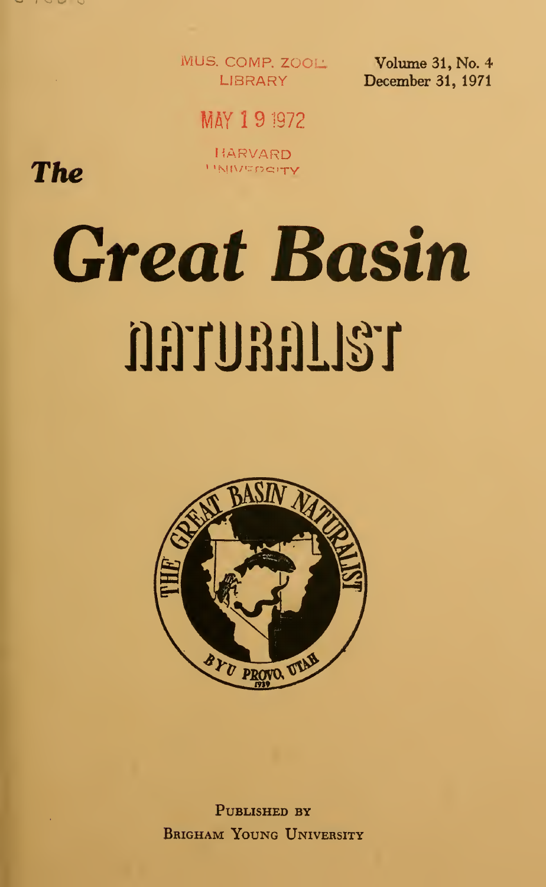

MUS. COMP. ZOOL: I IRRARY

Volume 31, No. 4 December 31, 1971

MAY 191972

HARVARD **UNIVERSITY** 

The

# **Great Basin** naunan 137



PUBLISHED BY **BRIGHAM YOUNG UNIVERSITY**